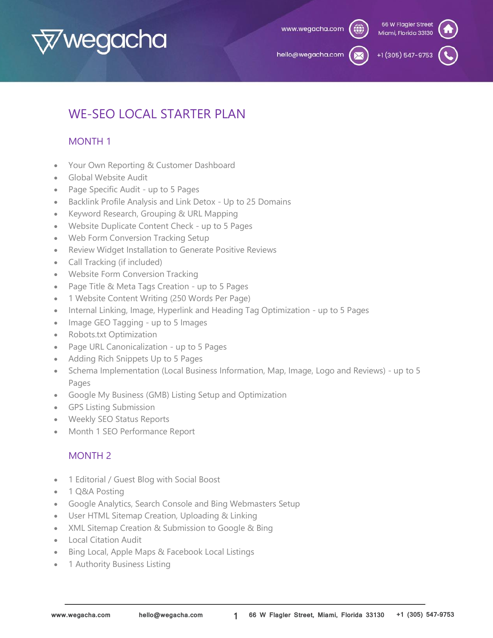

hello@wegacha.com

+1 (305) 547-975

# WE-SEO LOCAL STARTER PLAN

# MONTH 1

- Your Own Reporting & Customer Dashboard
- Global Website Audit
- Page Specific Audit up to 5 Pages
- Backlink Profile Analysis and Link Detox Up to 25 Domains
- Keyword Research, Grouping & URL Mapping
- Website Duplicate Content Check up to 5 Pages
- Web Form Conversion Tracking Setup
- Review Widget Installation to Generate Positive Reviews
- Call Tracking (if included)
- Website Form Conversion Tracking
- Page Title & Meta Tags Creation up to 5 Pages
- 1 Website Content Writing (250 Words Per Page)
- Internal Linking, Image, Hyperlink and Heading Tag Optimization up to 5 Pages
- Image GEO Tagging up to 5 Images
- Robots.txt Optimization
- Page URL Canonicalization up to 5 Pages
- Adding Rich Snippets Up to 5 Pages
- Schema Implementation (Local Business Information, Map, Image, Logo and Reviews) up to 5 Pages
- Google My Business (GMB) Listing Setup and Optimization
- GPS Listing Submission
- Weekly SEO Status Reports
- Month 1 SEO Performance Report

## MONTH 2

- 1 Editorial / Guest Blog with Social Boost
- 1 Q&A Posting
- Google Analytics, Search Console and Bing Webmasters Setup
- User HTML Sitemap Creation, Uploading & Linking
- XML Sitemap Creation & Submission to Google & Bing
- Local Citation Audit
- Bing Local, Apple Maps & Facebook Local Listings
- 1 Authority Business Listing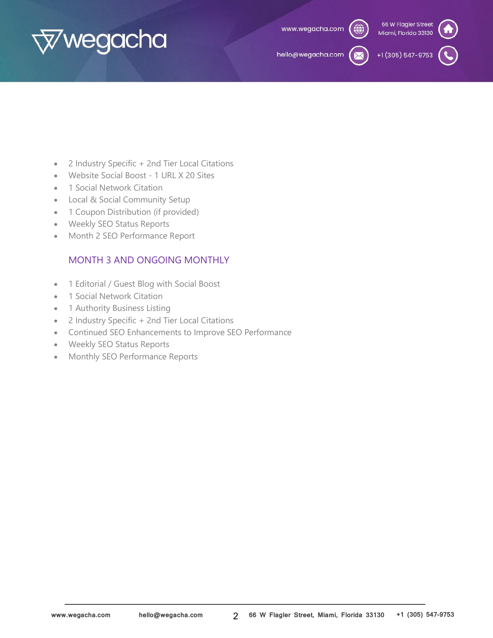

hello@wegacha.com

+1 (305) 547-9753

- 2 Industry Specific + 2nd Tier Local Citations
- Website Social Boost 1 URL X 20 Sites
- 1 Social Network Citation
- Local & Social Community Setup
- 1 Coupon Distribution (if provided)
- Weekly SEO Status Reports
- Month 2 SEO Performance Report

## MONTH 3 AND ONGOING MONTHLY

- 1 Editorial / Guest Blog with Social Boost
- 1 Social Network Citation
- 1 Authority Business Listing
- 2 Industry Specific + 2nd Tier Local Citations
- Continued SEO Enhancements to Improve SEO Performance
- Weekly SEO Status Reports
- Monthly SEO Performance Reports